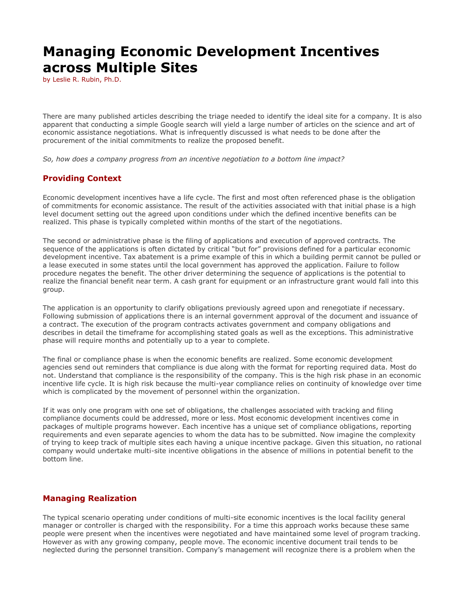## **Managing Economic Development Incentives across Multiple Sites**

by Leslie R. Rubin, Ph.D.

There are many published articles describing the triage needed to identify the ideal site for a company. It is also apparent that conducting a simple Google search will yield a large number of articles on the science and art of economic assistance negotiations. What is infrequently discussed is what needs to be done after the procurement of the initial commitments to realize the proposed benefit.

*So, how does a company progress from an incentive negotiation to a bottom line impact?* 

## **Providing Context**

Economic development incentives have a life cycle. The first and most often referenced phase is the obligation of commitments for economic assistance. The result of the activities associated with that initial phase is a high level document setting out the agreed upon conditions under which the defined incentive benefits can be realized. This phase is typically completed within months of the start of the negotiations.

The second or administrative phase is the filing of applications and execution of approved contracts. The sequence of the applications is often dictated by critical "but for" provisions defined for a particular economic development incentive. Tax abatement is a prime example of this in which a building permit cannot be pulled or a lease executed in some states until the local government has approved the application. Failure to follow procedure negates the benefit. The other driver determining the sequence of applications is the potential to realize the financial benefit near term. A cash grant for equipment or an infrastructure grant would fall into this group.

The application is an opportunity to clarify obligations previously agreed upon and renegotiate if necessary. Following submission of applications there is an internal government approval of the document and issuance of a contract. The execution of the program contracts activates government and company obligations and describes in detail the timeframe for accomplishing stated goals as well as the exceptions. This administrative phase will require months and potentially up to a year to complete.

The final or compliance phase is when the economic benefits are realized. Some economic development agencies send out reminders that compliance is due along with the format for reporting required data. Most do not. Understand that compliance is the responsibility of the company. This is the high risk phase in an economic incentive life cycle. It is high risk because the multi-year compliance relies on continuity of knowledge over time which is complicated by the movement of personnel within the organization.

If it was only one program with one set of obligations, the challenges associated with tracking and filing compliance documents could be addressed, more or less. Most economic development incentives come in packages of multiple programs however. Each incentive has a unique set of compliance obligations, reporting requirements and even separate agencies to whom the data has to be submitted. Now imagine the complexity of trying to keep track of multiple sites each having a unique incentive package. Given this situation, no rational company would undertake multi-site incentive obligations in the absence of millions in potential benefit to the bottom line.

## **Managing Realization**

The typical scenario operating under conditions of multi-site economic incentives is the local facility general manager or controller is charged with the responsibility. For a time this approach works because these same people were present when the incentives were negotiated and have maintained some level of program tracking. However as with any growing company, people move. The economic incentive document trail tends to be neglected during the personnel transition. Company's management will recognize there is a problem when the